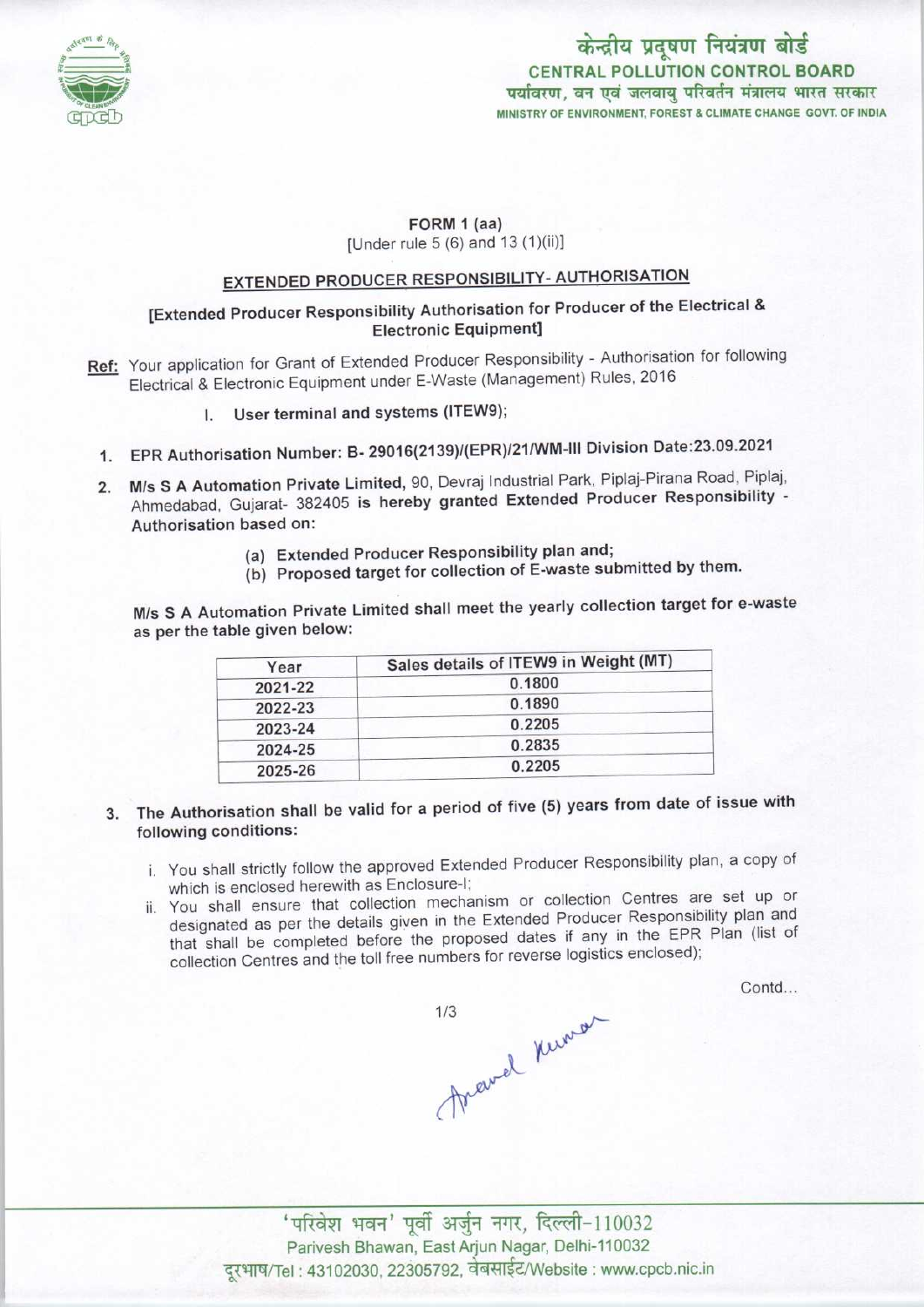

# केन्द्रीय प्रदूषण नियंत्रण बोर्ड CENTRAL POLLUTION CONTROL BOARD<br>पर्यावरण, वन एवं जलवाय परिवर्तन मंत्रालय भारत सरकार MINISTRY OF ENVIRONMENT, FOREST & CLIMATE CHANGE GOVT. OF INDIA

#### FORM 1 (aa)

[Under rule 5 (6) and 13 (1)(ii)]

# EXTENDED PRODUCER RESPONSIBILITY- AUTHORISATION

## [Extended Producer Responsibility Authorisation for Producer of the Electrical & Electronic Equipment]

- Ref: Your application for Grant of Extended Producer Responsibility Authorisation for following Electrical & Electronic Equipment under E-Waste (Management) Rules, 2016
	- I. User terminal and systems (ITEW9);
	- 1.EPR Authorisation Number: B- 29016(2139)/(EPR)/21/WM-lll Division Date:23.09.2021
	- 2. M/s S A Automation Private Limited, 90, Devraj Industrial Park, Piplaj-Pirana Road, Piplaj, Ahmedabad, Gujarat- 382405 is hereby granted Extended Producer Responsibility - Authorisation based on:
		- (a)Extended Producer Responsibility plan and;
		- (b) Proposed target for collection of E-waste submitted by them.

M/s S <sup>A</sup> Automation Private Limited shall meet the yearly collection target for e-waste as perthe table given below:

| Year    | Sales details of ITEW9 in Weight (MT) |
|---------|---------------------------------------|
| 2021-22 | 0.1800                                |
| 2022-23 | 0.1890                                |
| 2023-24 | 0.2205                                |
| 2024-25 | 0.2835                                |
| 2025-26 | 0.2205                                |

- 3. The Authorisation shall be valid for a period of five (5) years from date of issue with following conditions:
	- i. You shall strictly follow the approved Extended Producer Responsibility plan, a copy of which is enclosed herewith as Enclosure-I;
	- ii. You shall ensure that collection mechanism or collection Centres are set up or designated as per the details given in the Extended Producer Responsibility plan and that shall be completed before the proposed dates if any in the EPR Plan (list of collection Centres and the toll free numbers for reverse logistics enclosed);

Contd...

fravel Kuner

 $'$ परिवेश भवन' पूर्वी अर्जुन नगर, दिल्ली-110032 Parivesh Bhawan, East Arjun Nagar, Delhi-110032 दूरभाष/Tel : 43102030, 22305792, वेबसाईट/Website : www.cpcb.nic.in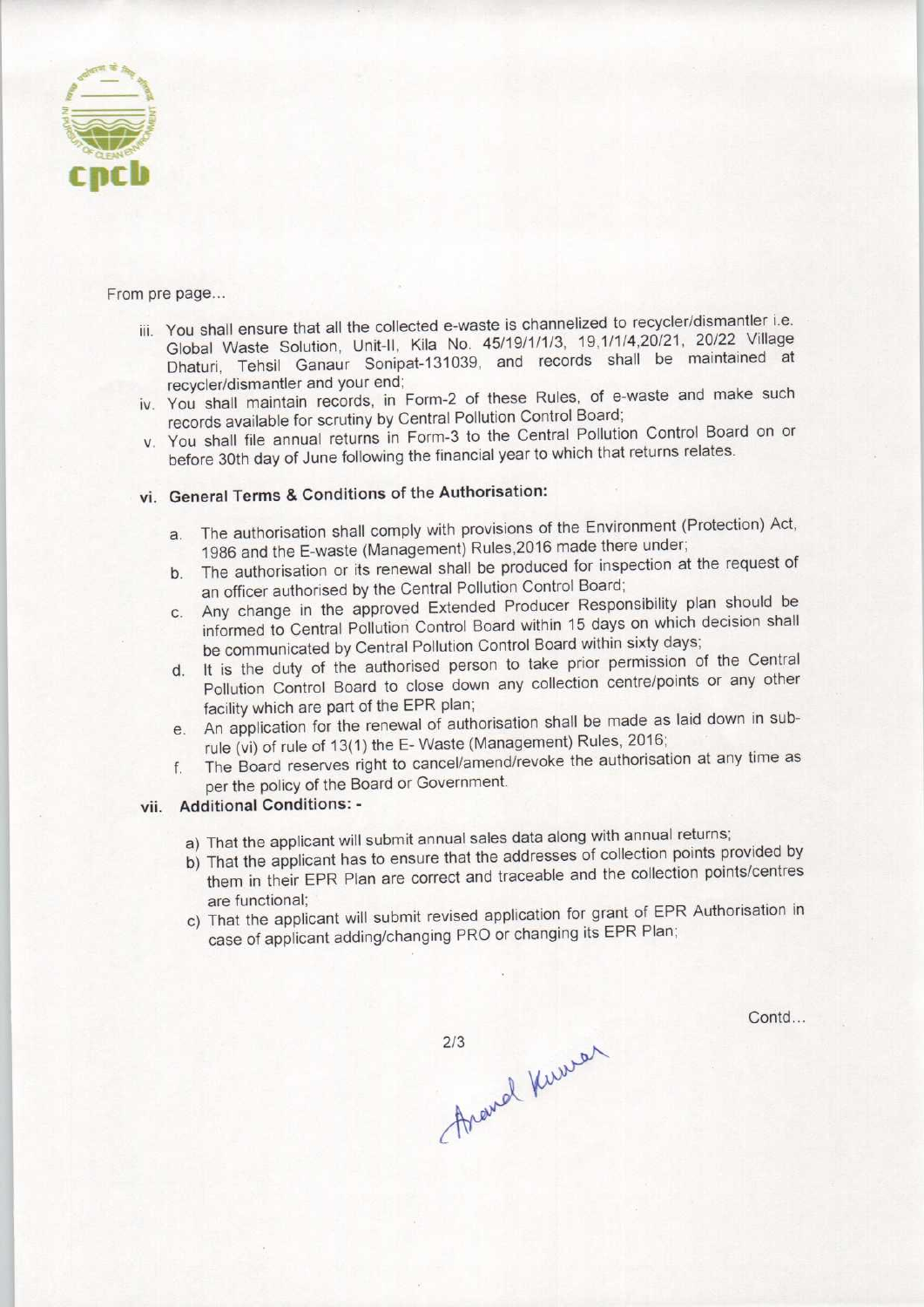

From pre page...

- iii. You shall ensure that all the collected e-waste is channelized to recycler/dismantler i.e. Global Waste Solution, Unit-ll, Kila No. 45/19/1/1/3, 19,1/1/4,20/21, 20/22 Village Dhaturi, Tehsil Ganaur Sonipat-131039, and records shall be maintained at recycler/dismantler and your end;
- iv. You shall maintain records, in Form-2 of these Rules, of e-waste and make such records available for scrutiny by Central Pollution Control Board;
- v. You shall file annual returns in Form-3 to the Central Pollution Control Board on or before 30th day of June following the financial year to which that returns relates.

## vi. General Terms & Conditions of the Authorisation:

- a. The authorisation shall comply with provisions of the Environment (Protection) Act, 1986 and the E-waste (Management) Rules,2016 made there under;
- b. The authorisation or its renewal shall be produced for inspection at the request of an officer authorised by the Central Pollution Control Board;
- c.Any change in the approved Extended Producer Responsibility plan should be informed to Central Pollution Control Board within 15 days on which decision shall be communicated by Central Pollution Control Board within sixty days;
- d. It is the duty of the authorised person to take prior permission of the Central Pollution Control Board to close down any collection centre/points or any other facility which are part of the EPR plan;
- e.An application for the renewal of authorisation shall be made aslaid down in subrule (vi) of rule of 13(1) the E- Waste (Management) Rules, 2016;
- f. The Board reserves right to cancel/amend/revoke the authorisation at any time as per the policy of the Board or Government.

#### vii. Additional Conditions: -

- a) That the applicant will submit annual sales data along with annual returns;
- b) That the applicant has to ensure that the addresses of collection points provided by them in their EPR Plan are correct and traceable and the collection points/centres are functional;
- c) That the applicant will submit revised application for grant of EPR Authorisation in case of applicant adding/changing PRO or changing its EPR Plan;

Contd...

thraugh Kumer